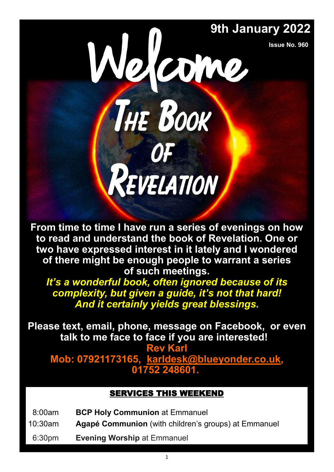**Issue No. 960**

# 9th January 2022<br>
Sue No. 960 THE BOOK REVELATION

**From time to time I have run a series of evenings on how to read and understand the book of Revelation. One or two have expressed interest in it lately and I wondered of there might be enough people to warrant a series of such meetings.** 

*It's a wonderful book, often ignored because of its complexity, but given a guide, it's not that hard! And it certainly yields great blessings.* 

**Please text, email, phone, message on Facebook, or even talk to me face to face if you are interested!** 

**Rev Karl Mob: 07921173165, [karldesk@blueyonder.co.uk,](mailto:karldesk@blueyonder.co.uk)  01752 248601.**

## SERVICES THIS WEEKEND

- 08:00am **BCP Holy Communion** at Emmanuel
- 10:30am **Agapé Communion** (with children's groups) at Emmanuel
- 06:30pm **Evening Worship** at Emmanuel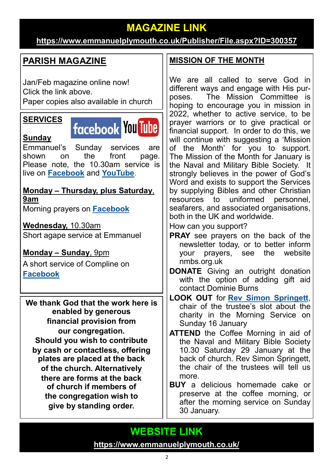# **MAGAZINE LINK**

## **<https://www.emmanuelplymouth.co.uk/Publisher/File.aspx?ID=300357>**

# **PARISH MAGAZINE**

Jan/Feb magazine online now! Click the link above. Paper copies also available in church

## **SERVICES**

**Sunday**



Emmanuel's Sunday services are shown on the front page. Please note, the 10.30am service is live on **[Facebook](https://www.facebook.com/emmanuelwithstpauls/)** and **[YouTube](https://www.youtube.com/channel/UCqTPdwPeUXD1TIFuG76xLfg)**.

**Monday – Thursday, plus Saturday**, **9am** Morning prayers on **[Facebook](https://www.facebook.com/emmanuelwithstpauls/)**

**Wednesday,** 10.30am Short agape service at Emmanuel

# **Monday – Sunday**, 9pm

A short service of Compline on **[Facebook](https://www.facebook.com/emmanuelwithstpauls/)**

**We thank God that the work here is enabled by generous financial provision from our congregation. Should you wish to contribute by cash or contactless, offering plates are placed at the back of the church. Alternatively there are forms at the back of church if members of the congregation wish to give by standing order.**

## **MISSION OF THE MONTH**

We are all called to serve God in different ways and engage with His purposes. The Mission Committee is hoping to encourage you in mission in 2022, whether to active service, to be prayer warriors or to give practical or financial support. In order to do this, we will continue with suggesting a 'Mission of the Month' for you to support. The Mission of the Month for January is the Naval and Military Bible Society. It strongly believes in the power of God's Word and exists to support the Services by supplying Bibles and other Christian resources to uniformed personnel, seafarers, and associated organisations, both in the UK and worldwide.

How can you support?

- **PRAY** see prayers on the back of the newsletter today, or to better inform your prayers, see the website nmbs.org.uk
- **DONATE** Giving an outright donation with the option of adding gift aid contact Dominie Burns

#### **LOOK OUT** for **[Rev Simon Springett](mailto:simonspringett@yahoo.com)**, chair of the trustee's slot about the charity in the Morning Service on Sunday 16 January

- **ATTEND** the Coffee Morning in aid of the Naval and Military Bible Society 10.30 Saturday 29 January at the back of church. Rev Simon Springett. the chair of the trustees will tell us more.
- **BUY** a delicious homemade cake or preserve at the coffee morning, or after the morning service on Sunday 30 January.

# **WEBSITE LINK**

**<https://www.emmanuelplymouth.co.uk/>**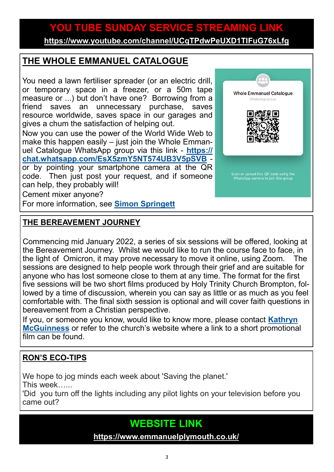# **YOU TUBE SUNDAY SERVICE STREAMING LINK**

**<https://www.youtube.com/channel/UCqTPdwPeUXD1TIFuG76xLfg>**

## **THE WHOLE EMMANUEL CATALOGUE**

You need a lawn fertiliser spreader (or an electric drill, or temporary space in a freezer, or a 50m tape measure or ...) but don't have one? Borrowing from a friend saves an unnecessary purchase, saves resource worldwide, saves space in our garages and gives a chum the satisfaction of helping out.

Now you can use the power of the World Wide Web to make this happen easily – just join the Whole Emmanuel Catalogue WhatsApp group via this link - **[https://](https://chat.whatsapp.com/EsX5zmY5NT574UB3V5pSVB) [chat.whatsapp.com/EsX5zmY5NT574UB3V5pSVB](https://chat.whatsapp.com/EsX5zmY5NT574UB3V5pSVB)** or by pointing your smartphone camera at the QR code. Then just post your request, and if someone can help, they probably will!

Cement mixer anyone?

For more information, see **[Simon Springett](mailto:simonspringett@yahoo.com)**

### **THE BEREAVEMENT JOURNEY**

Commencing mid January 2022, a series of six sessions will be offered, looking at the Bereavement Journey. Whilst we would like to run the course face to face, in the light of Omicron, it may prove necessary to move it online, using Zoom. The sessions are designed to help people work through their grief and are suitable for anyone who has lost someone close to them at any time. The format for the first five sessions will be two short films produced by Holy Trinity Church Brompton, followed by a time of discussion, wherein you can say as little or as much as you feel comfortable with. The final sixth session is optional and will cover faith questions in bereavement from a Christian perspective.

If you, or someone you know, would like to know more, please contact **[Kathryn](mailto:kmcguinness59@gmail.com)  [McGuinness](mailto:kmcguinness59@gmail.com)** or refer to the church's website where a link to a short promotional film can be found.

## **RON'S ECO-TIPS**

We hope to jog minds each week about 'Saving the planet.' This week…...

'Did you turn off the lights including any pilot lights on your television before you came out?

# **WEBSITE LINK**

**<https://www.emmanuelplymouth.co.uk/>**

3